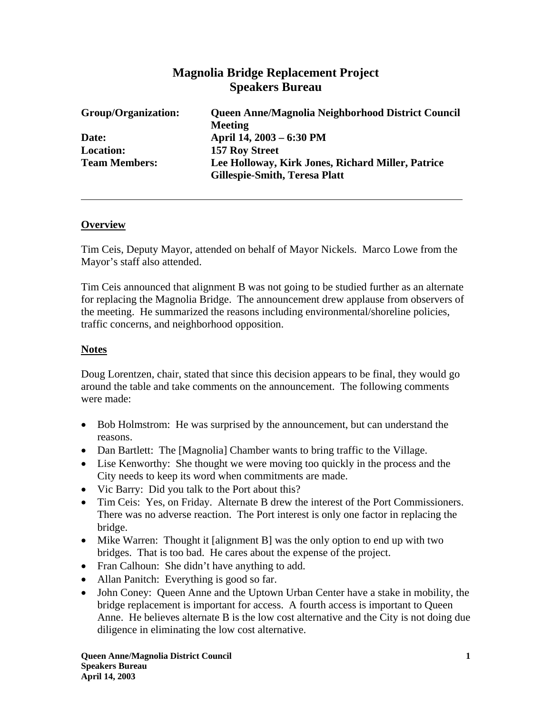# **Magnolia Bridge Replacement Project Speakers Bureau**

| Group/Organization:  | Queen Anne/Magnolia Neighborhood District Council<br><b>Meeting</b>                       |
|----------------------|-------------------------------------------------------------------------------------------|
| Date:                | April 14, 2003 – 6:30 PM                                                                  |
| <b>Location:</b>     | <b>157 Roy Street</b>                                                                     |
| <b>Team Members:</b> | Lee Holloway, Kirk Jones, Richard Miller, Patrice<br><b>Gillespie-Smith, Teresa Platt</b> |

#### **Overview**

Tim Ceis, Deputy Mayor, attended on behalf of Mayor Nickels. Marco Lowe from the Mayor's staff also attended.

Tim Ceis announced that alignment B was not going to be studied further as an alternate for replacing the Magnolia Bridge. The announcement drew applause from observers of the meeting. He summarized the reasons including environmental/shoreline policies, traffic concerns, and neighborhood opposition.

#### **Notes**

Doug Lorentzen, chair, stated that since this decision appears to be final, they would go around the table and take comments on the announcement. The following comments were made:

- Bob Holmstrom: He was surprised by the announcement, but can understand the reasons.
- Dan Bartlett: The [Magnolia] Chamber wants to bring traffic to the Village.
- Lise Kenworthy: She thought we were moving too quickly in the process and the City needs to keep its word when commitments are made.
- Vic Barry: Did you talk to the Port about this?
- Tim Ceis: Yes, on Friday. Alternate B drew the interest of the Port Commissioners. There was no adverse reaction. The Port interest is only one factor in replacing the bridge.
- Mike Warren: Thought it [alignment B] was the only option to end up with two bridges. That is too bad. He cares about the expense of the project.
- Fran Calhoun: She didn't have anything to add.
- Allan Panitch: Everything is good so far.
- John Coney: Queen Anne and the Uptown Urban Center have a stake in mobility, the bridge replacement is important for access. A fourth access is important to Queen Anne. He believes alternate B is the low cost alternative and the City is not doing due diligence in eliminating the low cost alternative.